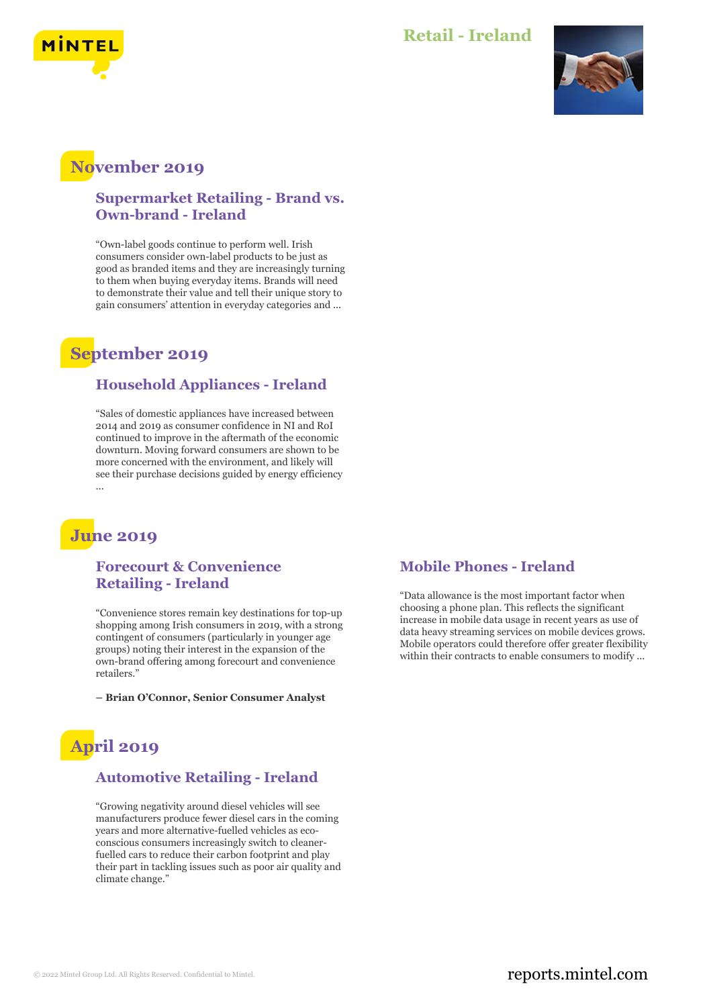

#### **Retail - Ireland**



## **November 2019**

#### **Supermarket Retailing - Brand vs. Own-brand - Ireland**

"Own-label goods continue to perform well. Irish consumers consider own-label products to be just as good as branded items and they are increasingly turning to them when buying everyday items. Brands will need to demonstrate their value and tell their unique story to gain consumers' attention in everyday categories and ...

## **September 2019**

#### **Household Appliances - Ireland**

"Sales of domestic appliances have increased between 2014 and 2019 as consumer confidence in NI and RoI continued to improve in the aftermath of the economic downturn. Moving forward consumers are shown to be more concerned with the environment, and likely will see their purchase decisions guided by energy efficiency

## **June 2019**

#### **Forecourt & Convenience Retailing - Ireland**

"Convenience stores remain key destinations for top-up shopping among Irish consumers in 2019, with a strong contingent of consumers (particularly in younger age groups) noting their interest in the expansion of the own-brand offering among forecourt and convenience retailers."

**– Brian O'Connor, Senior Consumer Analyst**

# **April 2019**

#### **Automotive Retailing - Ireland**

"Growing negativity around diesel vehicles will see manufacturers produce fewer diesel cars in the coming years and more alternative-fuelled vehicles as ecoconscious consumers increasingly switch to cleanerfuelled cars to reduce their carbon footprint and play their part in tackling issues such as poor air quality and climate change."

#### **Mobile Phones - Ireland**

"Data allowance is the most important factor when choosing a phone plan. This reflects the significant increase in mobile data usage in recent years as use of data heavy streaming services on mobile devices grows. Mobile operators could therefore offer greater flexibility within their contracts to enable consumers to modify ...